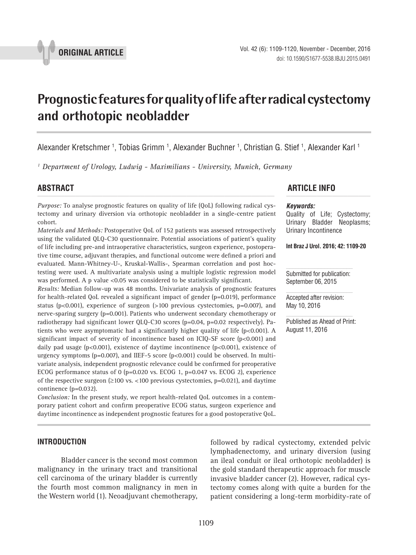

# **Prognostic features for quality of life after radical cystectomy and orthotopic neobladder \_\_\_\_\_\_\_\_\_\_\_\_\_\_\_\_\_\_\_\_\_\_\_\_\_\_\_\_\_\_\_\_\_\_\_\_\_\_\_\_\_\_\_\_\_\_\_**

Alexander Kretschmer <sup>1</sup>, Tobias Grimm <sup>1</sup>, Alexander Buchner <sup>1</sup>, Christian G. Stief <sup>1</sup>, Alexander Karl <sup>1</sup>

<sup>1</sup> Department of Urology, Ludwig - Maximilians - University, Munich, Germany

*Purpose:* To analyse prognostic features on quality of life (QoL) following radical cystectomy and urinary diversion via orthotopic neobladder in a single-centre patient cohort.

*Materials and Methods:* Postoperative QoL of 152 patients was assessed retrospectively using the validated QLQ-C30 questionnaire. Potential associations of patient's quality of life including pre-and intraoperative characteristics, surgeon experience, postoperative time course, adjuvant therapies, and functional outcome were defined a priori and evaluated. Mann-Whitney-U-, Kruskal-Wallis-, Spearman correlation and post hoctesting were used. A multivariate analysis using a multiple logistic regression model was performed. A p value <0.05 was considered to be statistically significant.

*Results:* Median follow-up was 48 months. Univariate analysis of prognostic features for health-related QoL revealed a significant impact of gender (p=0.019), performance status ( $p<0.001$ ), experience of surgeon ( $>100$  previous cystectomies,  $p=0.007$ ), and nerve-sparing surgery (p=0.001). Patients who underwent secondary chemotherapy or radiotherapy had significant lower QLQ-C30 scores (p=0.04, p=0.02 respectively). Patients who were asymptomatic had a significantly higher quality of life (p<0.001). A significant impact of severity of incontinence based on ICIQ-SF score (p<0.001) and daily pad usage (p<0.001), existence of daytime incontinence (p<0.001), existence of urgency symptoms ( $p=0.007$ ), and IIEF-5 score ( $p<0.001$ ) could be observed. In multivariate analysis, independent prognostic relevance could be confirmed for preoperative ECOG performance status of 0 (p=0.020 vs. ECOG 1, p=0.047 vs. ECOG 2), experience of the respective surgeon  $(≥100$  vs. <100 previous cystectomies, p=0.021), and daytime continence (p=0.032).

*Conclusion:* In the present study, we report health-related QoL outcomes in a contemporary patient cohort and confirm preoperative ECOG status, surgeon experience and daytime incontinence as independent prognostic features for a good postoperative QoL.

# **ABSTRACT ARTICLE INFO** *\_\_\_\_\_\_\_\_\_\_\_\_\_\_\_\_\_\_\_\_\_\_\_\_\_\_\_\_\_\_\_\_\_\_\_\_\_\_\_\_\_\_\_\_\_\_\_\_\_\_\_\_\_\_\_\_\_\_\_\_\_\_ \_\_\_\_\_\_\_\_\_\_\_\_\_\_\_\_\_\_\_\_\_\_*

#### *Keywords:*

Quality of Life; Cystectomy; Urinary Bladder Neoplasms; Urinary Incontinence

**Int Braz J Urol. 2016; 42: 1109-20**

Submitted for publication: September 06, 2015

Accepted after revision: May 10, 2016

Published as Ahead of Print: August 11, 2016

### **INTRODUCTION**

Bladder cancer is the second most common malignancy in the urinary tract and transitional cell carcinoma of the urinary bladder is currently the fourth most common malignancy in men in the Western world (1). Neoadjuvant chemotherapy, followed by radical cystectomy, extended pelvic lymphadenectomy, and urinary diversion (using an ileal conduit or ileal orthotopic neobladder) is the gold standard therapeutic approach for muscle invasive bladder cancer (2). However, radical cystectomy comes along with quite a burden for the patient considering a long-term morbidity-rate of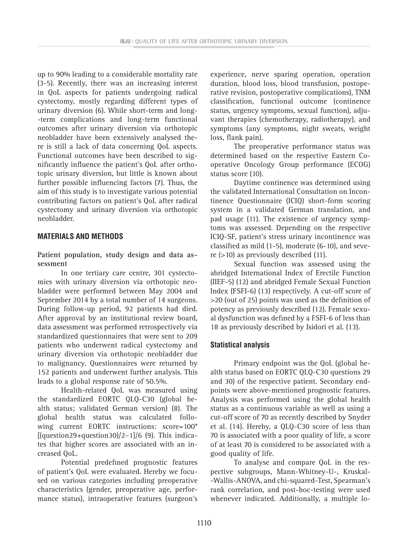up to 90% leading to a considerable mortality rate (3-5). Recently, there was an increasing interest in QoL aspects for patients undergoing radical cystectomy, mostly regarding different types of urinary diversion (6). While short-term and long- -term complications and long-term functional outcomes after urinary diversion via orthotopic neobladder have been extensively analysed there is still a lack of data concerning QoL aspects. Functional outcomes have been described to significantly influence the patient's QoL after orthotopic urinary diversion, but little is known about further possible influencing factors (7). Thus, the aim of this study is to investigate various potential contributing factors on patient's QoL after radical cystectomy and urinary diversion via orthotopic neobladder.

# **MATERIALS AND METHODS**

**Patient population, study design and data assessment**

In one tertiary care centre, 301 cystectomies with urinary diversion via orthotopic neobladder were performed between May 2004 and September 2014 by a total number of 14 surgeons. During follow-up period, 92 patients had died. After approval by an institutional review board, data assessment was performed retrospectively via standardized questionnaires that were sent to 209 patients who underwent radical cystectomy and urinary diversion via orthotopic neobladder due to malignancy. Questionnaires were returned by 152 patients and underwent further analysis. This leads to a global response rate of 50.5%.

Health-related QoL was measured using the standardized EORTC QLQ-C30 (global health status; validated German version) (8). The global health status was calculated following current EORTC instructions: score=100\*  $[(question29+question30)/2-1]/6$  (9). This indicates that higher scores are associated with an increased QoL.

Potential predefined prognostic features of patient's QoL were evaluated. Hereby we focused on various categories including preoperative characteristics (gender, preoperative age, performance status), intraoperative features (surgeon's experience, nerve sparing operation, operation duration, blood loss, blood transfusion, postoperative revision, postoperative complications), TNM classification, functional outcome (continence status, urgency symptoms, sexual function), adjuvant therapies (chemotherapy, radiotherapy), and symptoms (any symptoms, night sweats, weight loss, flank pain).

The preoperative performance status was determined based on the respective Eastern Cooperative Oncology Group performance (ECOG) status score (10).

Daytime continence was determined using the validated International Consultation on Incontinence Questionnaire (ICIQ) short-form scoring system in a validated German translation, and pad usage (11). The existence of urgency symptoms was assessed. Depending on the respective ICIQ-SF, patient's stress urinary incontinence was classified as mild (1-5), moderate (6-10), and severe (>10) as previously described (11).

Sexual function was assessed using the abridged International Index of Erectile Function (IIEF-5) (12) and abridged Female Sexual Function Index (FSFI-6) (13) respectively. A cut-off score of >20 (out of 25) points was used as the definition of potency as previously described (12). Female sexual dysfunction was defined by a FSFI-6 of less than 18 as previously described by Isidori et al. (13).

# **Statistical analysis**

Primary endpoint was the QoL (global health status based on EORTC QLQ-C30 questions 29 and 30) of the respective patient. Secondary endpoints were above-mentioned prognostic features. Analysis was performed using the global health status as a continuous variable as well as using a cut-off score of 70 as recently described by Snyder et al. (14). Hereby, a QLQ-C30 score of less than 70 is associated with a poor quality of life, a score of at least 70 is considered to be associated with a good quality of life.

To analyse and compare QoL in the respective subgroups, Mann-Whitney-U-, Kruskal- -Wallis-ANOVA, and chi-squared-Test, Spearman's rank correlation, and post-hoc-testing were used whenever indicated. Additionally, a multiple lo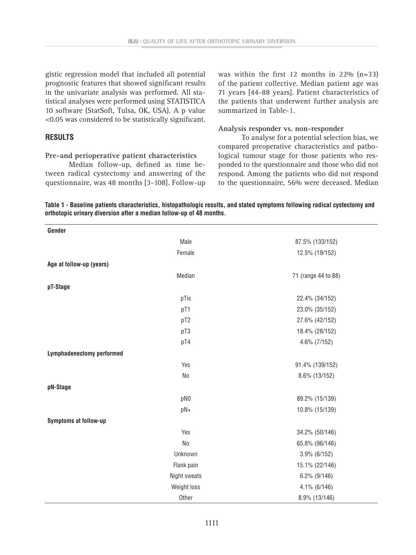gistic regression model that included all potential prognostic features that showed significant results in the univariate analysis was performed. All statistical analyses were performed using STATISTICA 10 software (StatSoft, Tulsa, OK, USA). A p value <0.05 was considered to be statistically significant.

# **RESULTS**

#### **Pre-and perioperative patient characteristics**

Median follow-up, defined as time between radical cystectomy and answering of the questionnaire, was 48 months [3-108]. Follow-up was within the first 12 months in 22% (n=33) of the patient collective. Median patient age was 71 years [44-88 years]. Patient characteristics of the patients that underwent further analysis are summarized in Table-1.

#### **Analysis responder vs. non-responder**

To analyse for a potential selection bias, we compared preoperative characteristics and pathological tumour stage for those patients who responded to the questionnaire and those who did not respond. Among the patients who did not respond to the questionnaire, 56% were deceased. Median

**Table 1 - Baseline patients characteristics, histopathologic results, and stated symptoms following radical cystectomy and orthotopic urinary diversion after a median follow-up of 48 months.**

| Gender                           |                 |                     |
|----------------------------------|-----------------|---------------------|
|                                  | Male            | 87.5% (133/152)     |
|                                  | Female          | 12.5% (19/152)      |
| Age at follow-up (years)         |                 |                     |
|                                  | Median          | 71 (range 44 to 88) |
| pT-Stage                         |                 |                     |
|                                  | pTis            | 22.4% (34/152)      |
|                                  | pT1             | 23.0% (35/152)      |
|                                  | pT2             | 27.6% (42/152)      |
|                                  | pT3             | 18.4% (28/152)      |
|                                  | pT4             | 4.6% (7/152)        |
| <b>Lymphadenectomy performed</b> |                 |                     |
|                                  | Yes             | 91.4% (139/152)     |
|                                  | <b>No</b>       | 8.6% (13/152)       |
| pN-Stage                         |                 |                     |
|                                  | pN <sub>0</sub> | 89.2% (15/139)      |
|                                  | pN+             | 10.8% (15/139)      |
| Symptoms at follow-up            |                 |                     |
|                                  | Yes             | 34.2% (50/146)      |
|                                  | <b>No</b>       | 65.8% (96/146)      |
|                                  | Unknown         | $3.9\%$ (6/152)     |
|                                  | Flank pain      | 15.1% (22/146)      |
|                                  | Night sweats    | $6.2\%$ (9/146)     |
|                                  | Weight loss     | $4.1\%$ (6/146)     |
|                                  | Other           | 8.9% (13/146)       |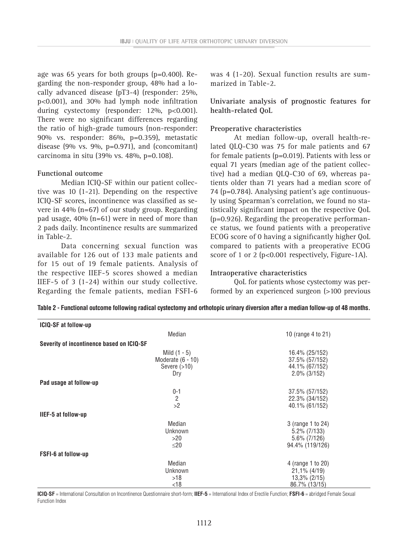age was 65 years for both groups (p=0.400). Regarding the non-responder group, 48% had a locally advanced disease (pT3-4) (responder: 25%, p<0.001), and 30% had lymph node infiltration during cystectomy (responder: 12%, p<0.001). There were no significant differences regarding the ratio of high-grade tumours (non-responder: 90% vs. responder: 86%, p=0.359), metastatic disease (9% vs. 9%,  $p=0.971$ ), and (concomitant) carcinoma in situ (39% vs. 48%, p=0.108).

#### **Functional outcome**

Median ICIQ-SF within our patient collective was 10 (1-21). Depending on the respective ICIQ-SF scores, incontinence was classified as severe in 44% (n=67) of our study group. Regarding pad usage, 40% (n=61) were in need of more than 2 pads daily. Incontinence results are summarized in Table-2.

Data concerning sexual function was available for 126 out of 133 male patients and for 15 out of 19 female patients. Analysis of the respective IIEF-5 scores showed a median IIEF-5 of 3 (1-24) within our study collective. Regarding the female patients, median FSFI-6

was 4 (1-20). Sexual function results are summarized in Table-2.

**Univariate analysis of prognostic features for health-related QoL**

#### **Preoperative characteristics**

At median follow-up, overall health-related QLQ-C30 was 75 for male patients and 67 for female patients (p=0.019). Patients with less or equal 71 years (median age of the patient collective) had a median QLQ-C30 of 69, whereas patients older than 71 years had a median score of 74 (p=0.784). Analysing patient's age continuously using Spearman's correlation, we found no statistically significant impact on the respective QoL (p=0.926). Regarding the preoperative performance status, we found patients with a preoperative ECOG score of 0 having a significantly higher QoL compared to patients with a preoperative ECOG score of 1 or 2 ( $p<0.001$  respectively, Figure-1A).

#### **Intraoperative characteristics**

QoL for patients whose cystectomy was performed by an experienced surgeon (>100 previous

| <b>ICIQ-SF at follow-up</b>               |                                                                |                                                                            |  |
|-------------------------------------------|----------------------------------------------------------------|----------------------------------------------------------------------------|--|
|                                           | Median                                                         | 10 (range 4 to 21)                                                         |  |
| Severity of incontinence based on ICIQ-SF |                                                                |                                                                            |  |
|                                           | Mild $(1 - 5)$<br>Moderate $(6 - 10)$<br>Severe $(>10)$<br>Dry | 16.4% (25/152)<br>37.5% (57/152)<br>44.1% (67/152)<br>$2.0\%$ (3/152)      |  |
| Pad usage at follow-up                    |                                                                |                                                                            |  |
|                                           | $0 - 1$<br>$\overline{c}$<br>>2                                | 37.5% (57/152)<br>22.3% (34/152)<br>40.1% (61/152)                         |  |
| IIEF-5 at follow-up                       |                                                                |                                                                            |  |
|                                           | Median<br>Unknown<br>>20<br>$\leq$ 20                          | 3 (range 1 to 24)<br>$5.2\%$ (7/133)<br>$5.6\%$ (7/126)<br>94.4% (119/126) |  |
| <b>FSFI-6 at follow-up</b>                |                                                                |                                                                            |  |
|                                           | Median<br>Unknown<br>>18<br>< 18                               | 4 (range 1 to 20)<br>$21,1\%$ (4/19)<br>13,3% (2/15)<br>86.7% (13/15)      |  |

**Table 2 - Functional outcome following radical cystectomy and orthotopic urinary diversion after a median follow-up of 48 months.**

**ICIQ-SF** = International Consultation on Incontinence Questionnaire short-form; **IIEF-5** = International Index of Erectile Function; **FSFI-6** = abridged Female Sexual Function Index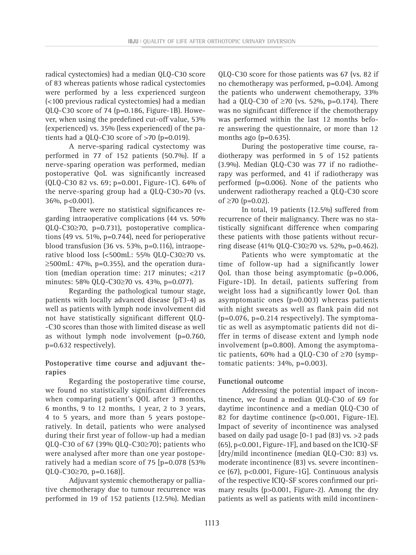radical cystectomies) had a median QLQ-C30 score of 83 whereas patients whose radical cystectomies were performed by a less experienced surgeon (<100 previous radical cystectomies) had a median QLQ-C30 score of 74 (p=0.186, Figure-1B). However, when using the predefined cut-off value, 53% (experienced) vs. 35% (less experienced) of the patients had a QLQ-C30 score of  $>70$  (p=0.019).

A nerve-sparing radical cystectomy was performed in 77 of 152 patients (50.7%). If a nerve-sparing operation was performed, median postoperative QoL was significantly increased (QLQ-C30 82 vs. 69; p=0.001, Figure-1C). 64% of the nerve-sparing group had a QLQ-C30>70 (vs. 36%, p<0.001).

There were no statistical significances regarding intraoperative complications (44 vs. 50% QLQ-C30≥70, p=0.731), postoperative complications (49 vs. 51%, p=0.744), need for perioperative blood transfusion (36 vs. 53%, p=0.116), intraoperative blood loss (<500mL: 55% QLQ-C30≥70 vs.  $\geq$ 500mL: 47%, p=0.355), and the operation duration (median operation time: 217 minutes; <217 minutes: 58% QLQ-C30≥70 vs. 43%, p=0.077).

Regarding the pathological tumour stage, patients with locally advanced disease (pT3-4) as well as patients with lymph node involvement did not have statistically significant different QLQ- -C30 scores than those with limited disease as well as without lymph node involvement (p=0.760, p=0.632 respectively).

# **Postoperative time course and adjuvant therapies**

Regarding the postoperative time course, we found no statistically significant differences when comparing patient's QOL after 3 months, 6 months, 9 to 12 months, 1 year, 2 to 3 years, 4 to 5 years, and more than 5 years postoperatively. In detail, patients who were analysed during their first year of follow-up had a median QLQ-C30 of 67 (39% QLQ-C30≥70); patients who were analysed after more than one year postoperatively had a median score of 75 [p=0.078 (53% QLQ-C30≥70, p=0.168)].

Adjuvant systemic chemotherapy or palliative chemotherapy due to tumour recurrence was performed in 19 of 152 patients (12.5%). Median QLQ-C30 score for those patients was 67 (vs. 82 if no chemotherapy was performed, p=0.04). Among the patients who underwent chemotherapy, 33% had a QLQ-C30 of ≥70 (vs. 52%, p=0.174). There was no significant difference if the chemotherapy was performed within the last 12 months before answering the questionnaire, or more than 12 months ago ( $p=0.635$ ).

During the postoperative time course, radiotherapy was performed in 5 of 152 patients (3.9%). Median QLQ-C30 was 77 if no radiotherapy was performed, and 41 if radiotherapy was performed (p=0.006). None of the patients who underwent radiotherapy reached a QLQ-C30 score of ≥70 (p=0.02).

In total, 19 patients (12.5%) suffered from recurrence of their malignancy. There was no statistically significant difference when comparing these patients with those patients without recurring disease (41% QLQ-C30≥70 vs. 52%, p=0.462).

Patients who were symptomatic at the time of follow-up had a significantly lower QoL than those being asymptomatic (p=0.006, Figure-1D). In detail, patients suffering from weight loss had a significantly lower QoL than asymptomatic ones (p=0.003) whereas patients with night sweats as well as flank pain did not  $(p=0.076, p=0.214$  respectively). The symptomatic as well as asymptomatic patients did not differ in terms of disease extent and lymph node involvement (p=0.800). Among the asymptomatic patients, 60% had a QLQ-C30 of ≥70 (symptomatic patients: 34%, p=0.003).

### **Functional outcome**

Addressing the potential impact of incontinence, we found a median QLQ-C30 of 69 for daytime incontinence and a median QLQ-C30 of 82 for daytime continence (p<0.001, Figure-1E). Impact of severity of incontinence was analysed based on daily pad usage [0-1 pad (83) vs. >2 pads (65), p<0.001, Figure-1F], and based on the ICIQ-SF [dry/mild incontinence (median QLQ-C30: 83) vs. moderate incontinence (83) vs. severe incontinence (67), p<0.001, Figure-1G]. Continuous analysis of the respective ICIQ-SF scores confirmed our primary results (p>0.001, Figure-2). Among the dry patients as well as patients with mild incontinen-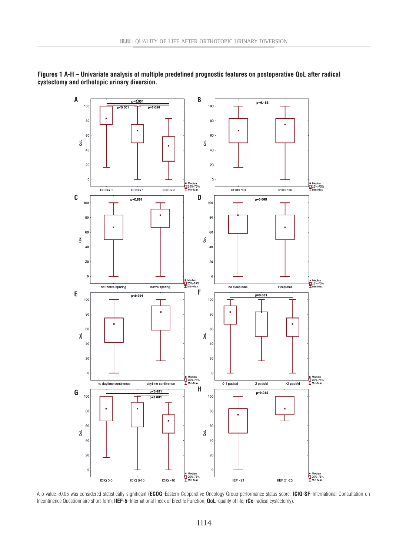

**Figures 1 A-H – Univariate analysis of multiple predefined prognostic features on postoperative QoL after radical cystectomy and orthotopic urinary diversion.**

A p value <0.05 was considered statistically significant (**ECOG**=Eastern Cooperative Oncology Group performance status score; **ICIQ-SF**=International Consultation on Incontinence Questionnaire short-form; **IIEF-5**=International Index of Erectile Function; **QoL**=quality of life; **rCx**=radical cystectomy).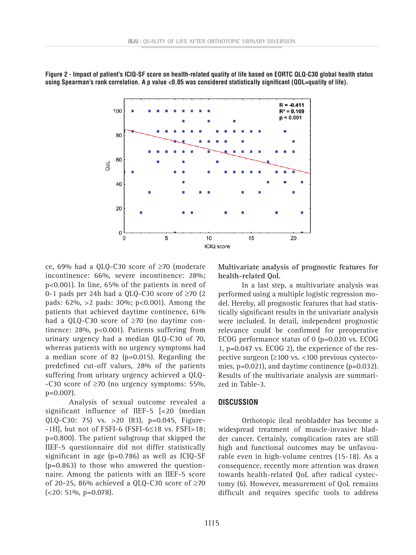

**Figure 2 - Impact of patient's ICIQ-SF score on health-related quality of life based on EORTC QLQ-C30 global health status using Spearman's rank correlation. A p value <0.05 was considered statistically significant (QOL=quality of life).**

ce, 69% had a QLQ-C30 score of ≥70 (moderate incontinence: 66%, severe incontinence: 28%; p<0.001). In line, 65% of the patients in need of 0-1 pads per 24h had a QLQ-C30 score of  $\geq$ 70 (2 pads: 62%, >2 pads: 30%; p<0.001). Among the patients that achieved daytime continence, 61% had a QLQ-C30 score of ≥70 (no daytime continence: 28%, p<0.001). Patients suffering from urinary urgency had a median QLQ-C30 of 70, whereas patients with no urgency symptoms had a median score of 82 (p=0.015). Regarding the predefined cut-off values, 28% of the patients suffering from urinary urgency achieved a QLQ- -C30 score of ≥70 (no urgency symptoms: 55%, p=0.007).

Analysis of sexual outcome revealed a significant influence of IIEF-5 [<20 (median QLQ-C30: 75) vs. >20 (83), p=0.045, Figure-  $-1H$ , but not of FSFI-6 (FSFI-6 $\leq$ 18 vs. FSFI>18; p=0.800). The patient subgroup that skipped the IIEF-5 questionnaire did not differ statistically significant in age (p=0.786) as well as ICIQ-SF  $(p=0.863)$  to those who answered the questionnaire. Among the patients with an IIEF-5 score of 20-25, 86% achieved a QLQ-C30 score of  $\geq$ 70  $(**20**: 51%, **p=0.078**).$ 

**Multivariate analysis of prognostic features for health-related QoL**

In a last step, a multivariate analysis was performed using a multiple logistic regression model. Hereby, all prognostic features that had statistically significant results in the univariate analysis were included. In detail, independent prognostic relevance could be confirmed for preoperative ECOG performance status of 0 (p=0.020 vs. ECOG 1, p=0.047 vs. ECOG 2), the experience of the respective surgeon (≥100 vs. <100 previous cystectomies, p=0.021), and daytime continence (p=0.032). Results of the multivariate analysis are summarized in Table-3.

#### **DISCUSSION**

Orthotopic ileal neobladder has become a widespread treatment of muscle-invasive bladder cancer. Certainly, complication rates are still high and functional outcomes may be unfavourable even in high-volume centres (15-18). As a consequence, recently more attention was drawn towards health-related QoL after radical cystectomy (6). However, measurement of QoL remains difficult and requires specific tools to address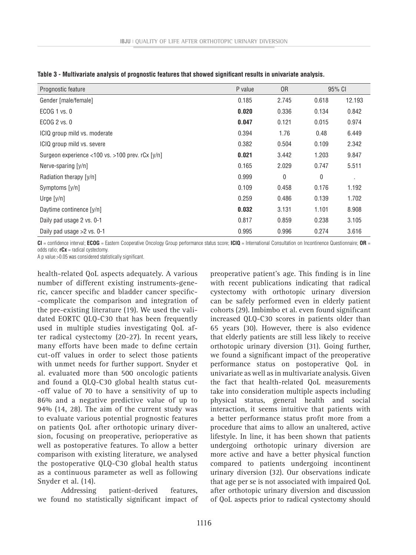| Prognostic feature                               | P value | 0 <sub>R</sub> | 95% CI |        |
|--------------------------------------------------|---------|----------------|--------|--------|
| Gender [male/female]                             | 0.185   | 2.745          | 0.618  | 12.193 |
| ECOG 1 vs. 0                                     | 0.020   | 0.336          | 0.134  | 0.842  |
| ECOG 2 vs. 0                                     | 0.047   | 0.121          | 0.015  | 0.974  |
| ICIQ group mild vs. moderate                     | 0.394   | 1.76           | 0.48   | 6.449  |
| ICIQ group mild vs. severe                       | 0.382   | 0.504          | 0.109  | 2.342  |
| Surgeon experience <100 vs. >100 prev. rCx [y/n] | 0.021   | 3.442          | 1.203  | 9.847  |
| Nerve-sparing [y/n]                              | 0.165   | 2.029          | 0.747  | 5.511  |
| Radiation therapy [y/n]                          | 0.999   | $\mathbf 0$    | 0      |        |
| Symptoms [y/n]                                   | 0.109   | 0.458          | 0.176  | 1.192  |
| Urge $[y/n]$                                     | 0.259   | 0.486          | 0.139  | 1.702  |
| Daytime continence [y/n]                         | 0.032   | 3.131          | 1.101  | 8.908  |
| Daily pad usage 2 vs. 0-1                        | 0.817   | 0.859          | 0.238  | 3.105  |
| Daily pad usage $>2$ vs. 0-1                     | 0.995   | 0.996          | 0.274  | 3.616  |

**Table 3 - Multivariate analysis of prognostic features that showed significant results in univariate analysis.** 

**CI** = confidence interval; **ECOG** = Eastern Cooperative Oncology Group performance status score; **ICIQ** = International Consultation on Incontinence Questionnaire; **OR** = odds ratio; **rCx** = radical cystectomy.

A p value >0.05 was considered statistically significant.

health-related QoL aspects adequately. A various number of different existing instruments-generic, cancer specific and bladder cancer specific- -complicate the comparison and integration of the pre-existing literature (19). We used the validated EORTC QLQ-C30 that has been frequently used in multiple studies investigating QoL after radical cystectomy (20-27). In recent years, many efforts have been made to define certain cut-off values in order to select those patients with unmet needs for further support. Snyder et al. evaluated more than 500 oncologic patients and found a QLQ-C30 global health status cut- -off value of 70 to have a sensitivity of up to 86% and a negative predictive value of up to 94% (14, 28). The aim of the current study was to evaluate various potential prognostic features on patients QoL after orthotopic urinary diversion, focusing on preoperative, perioperative as well as postoperative features. To allow a better comparison with existing literature, we analysed the postoperative QLQ-C30 global health status as a continuous parameter as well as following Snyder et al. (14).

Addressing patient-derived features, we found no statistically significant impact of preoperative patient's age. This finding is in line with recent publications indicating that radical cystectomy with orthotopic urinary diversion can be safely performed even in elderly patient cohorts (29). Imbimbo et al. even found significant increased QLQ-C30 scores in patients older than 65 years (30). However, there is also evidence that elderly patients are still less likely to receive orthotopic urinary diversion (31). Going further, we found a significant impact of the preoperative performance status on postoperative QoL in univariate as well as in multivariate analysis. Given the fact that health-related QoL measurements take into consideration multiple aspects including physical status, general health and social interaction, it seems intuitive that patients with a better performance status profit more from a procedure that aims to allow an unaltered, active lifestyle. In line, it has been shown that patients undergoing orthotopic urinary diversion are more active and have a better physical function compared to patients undergoing incontinent urinary diversion (32). Our observations indicate that age per se is not associated with impaired QoL after orthotopic urinary diversion and discussion of QoL aspects prior to radical cystectomy should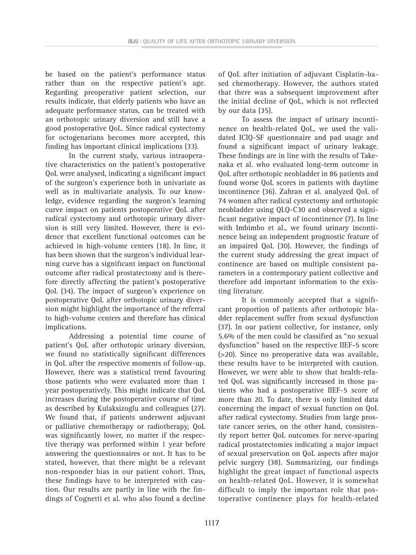be based on the patient's performance status rather than on the respective patient's age. Regarding preoperative patient selection, our results indicate, that elderly patients who have an adequate performance status, can be treated with an orthotopic urinary diversion and still have a good postoperative QoL. Since radical cystectomy for octogenarians becomes more accepted, this finding has important clinical implications (33).

In the current study, various intraoperative characteristics on the patient's postoperative QoL were analysed, indicating a significant impact of the surgeon's experience both in univariate as well as in multivariate analysis. To our knowledge, evidence regarding the surgeon's learning curve impact on patients postoperative QoL after radical cystectomy and orthotopic urinary diversion is still very limited. However, there is evidence that excellent functional outcomes can be achieved in high-volume centers (18). In line, it has been shown that the surgeon's individual learning curve has a significant impact on functional outcome after radical prostatectomy and is therefore directly affecting the patient's postoperative QoL (34). The impact of surgeon's experience on postoperative QoL after orthotopic urinary diversion might highlight the importance of the referral to high-volume centers and therefore has clinical implications.

Addressing a potential time course of patient's QoL after orthotopic urinary diversion, we found no statistically significant differences in QoL after the respective moments of follow-up. However, there was a statistical trend favouring those patients who were evaluated more than 1 year postoperatively. This might indicate that QoL increases during the postoperative course of time as described by Kulaksizoglu and colleagues (27). We found that, if patients underwent adjuvant or palliative chemotherapy or radiotherapy, QoL was significantly lower, no matter if the respective therapy was performed within 1 year before answering the questionnaires or not. It has to be stated, however, that there might be a relevant non-responder bias in our patient cohort. Thus, these findings have to be interpreted with caution. Our results are partly in line with the findings of Cognetti et al. who also found a decline of QoL after initiation of adjuvant Cisplatin-based chemotherapy. However, the authors stated that there was a subsequent improvement after the initial decline of QoL, which is not reflected by our data (35).

To assess the impact of urinary incontinence on health-related QoL, we used the validated ICIQ-SF questionnaire and pad usage and found a significant impact of urinary leakage. These findings are in line with the results of Takenaka et al. who evaluated long-term outcome in QoL after orthotopic neobladder in 86 patients and found worse QoL scores in patients with daytime incontinence (36). Zahran et al. analyzed QoL of 74 women after radical cystectomy and orthotopic neobladder using QLQ-C30 and observed a significant negative impact of incontinence (7). In line with Imbimbo et al., we found urinary incontinence being an independent prognostic feature of an impaired QoL (30). However, the findings of the current study addressing the great impact of continence are based on multiple consistent parameters in a contemporary patient collective and therefore add important information to the existing literature.

It is commonly accepted that a significant proportion of patients after orthotopic bladder replacement suffer from sexual dysfunction (37). In our patient collective, for instance, only 5.6% of the men could be classified as "no sexual dysfunction" based on the respective IIEF-5 score (>20). Since no preoperative data was available, these results have to be interpreted with caution. However, we were able to show that health-related QoL was significantly increased in those patients who had a postoperative IIEF-5 score of more than 20. To date, there is only limited data concerning the impact of sexual function on QoL after radical cystectomy. Studies from large prostate cancer series, on the other hand, consistently report better QoL outcomes for nerve-sparing radical prostatectomies indicating a major impact of sexual preservation on QoL aspects after major pelvic surgery (38). Summarizing, our findings highlight the great impact of functional aspects on health-related QoL. However, it is somewhat difficult to imply the important role that postoperative continence plays for health-related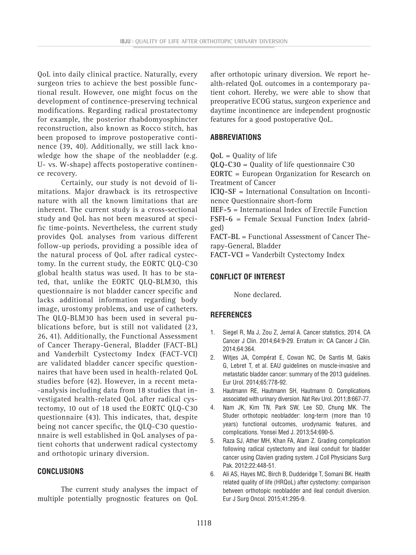QoL into daily clinical practice. Naturally, every surgeon tries to achieve the best possible functional result. However, one might focus on the development of continence-preserving technical modifications. Regarding radical prostatectomy for example, the posterior rhabdomyosphincter reconstruction, also known as Rocco stitch, has been proposed to improve postoperative continence (39, 40). Additionally, we still lack knowledge how the shape of the neobladder (e.g. U- vs. W-shape) affects postoperative continence recovery.

Certainly, our study is not devoid of limitations. Major drawback is its retrospective nature with all the known limitations that are inherent. The current study is a cross-sectional study and QoL has not been measured at specific time-points. Nevertheless, the current study provides QoL analyses from various different follow-up periods, providing a possible idea of the natural process of QoL after radical cystectomy. In the current study, the EORTC QLQ-C30 global health status was used. It has to be stated, that, unlike the EORTC QLQ-BLM30, this questionnaire is not bladder cancer specific and lacks additional information regarding body image, urostomy problems, and use of catheters. The QLQ-BLM30 has been used in several publications before, but is still not validated (23, 26, 41). Additionally, the Functional Assessment of Cancer Therapy-General, Bladder (FACT-BL) and Vanderbilt Cystectomy Index (FACT-VCI) are validated bladder cancer specific questionnaires that have been used in health-related QoL studies before (42). However, in a recent meta- -analysis including data from 18 studies that investigated health-related QoL after radical cystectomy, 10 out of 18 used the EORTC QLQ-C30 questionnaire (43). This indicates, that, despite being not cancer specific, the QLQ-C30 questionnaire is well established in QoL analyses of patient cohorts that underwent radical cystectomy and orthotopic urinary diversion.

## **CONCLUSIONS**

The current study analyses the impact of multiple potentially prognostic features on QoL after orthotopic urinary diversion. We report health-related QoL outcomes in a contemporary patient cohort. Hereby, we were able to show that preoperative ECOG status, surgeon experience and daytime incontinence are independent prognostic features for a good postoperative QoL.

# **ABBREVIATIONS**

**QoL** = Quality of life

**QLQ-C30** = Quality of life questionnaire C30

**EORTC** = European Organization for Research on Treatment of Cancer

**ICIQ-SF** = International Consultation on Incontinence Questionnaire short-form

**IIEF-5** = International Index of Erectile Function **FSFI-6** = Female Sexual Function Index (abridged)

**FACT-BL** = Functional Assessment of Cancer Therapy-General, Bladder

**FACT-VCI** = Vanderbilt Cystectomy Index

### **CONFLICT OF INTEREST**

None declared.

### **REFERENCES**

- 1. Siegel R, Ma J, Zou Z, Jemal A. Cancer statistics, 2014. CA Cancer J Clin. 2014;64:9-29. Erratum in: CA Cancer J Clin. 2014;64:364.
- 2. Witjes JA, Compérat E, Cowan NC, De Santis M, Gakis G, Lebret T, et al. EAU guidelines on muscle-invasive and metastatic bladder cancer: summary of the 2013 guidelines. Eur Urol. 2014;65:778-92.
- 3. Hautmann RE, Hautmann SH, Hautmann O. Complications associated with urinary diversion. Nat Rev Urol. 2011;8:667-77.
- 4. Nam JK, Kim TN, Park SW, Lee SD, Chung MK. The Studer orthotopic neobladder: long-term (more than 10 years) functional outcomes, urodynamic features, and complications. Yonsei Med J. 2013;54:690-5.
- 5. Raza SJ, Ather MH, Khan FA, Alam Z. Grading complication following radical cystectomy and ileal conduit for bladder cancer using Clavien grading system. J Coll Physicians Surg Pak. 2012;22:448-51.
- 6. Ali AS, Hayes MC, Birch B, Dudderidge T, Somani BK. Health related quality of life (HRQoL) after cystectomy: comparison between orthotopic neobladder and ileal conduit diversion. Eur J Surg Oncol. 2015;41:295-9.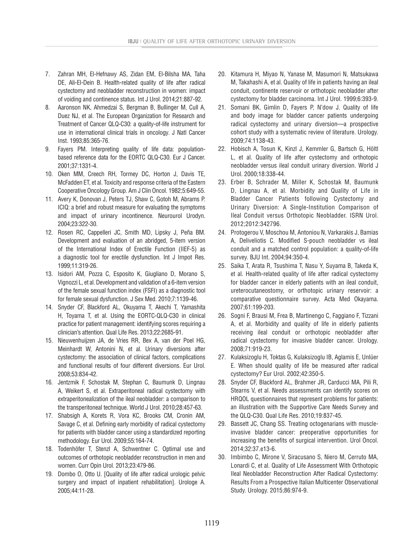- 7. Zahran MH, El-Hefnawy AS, Zidan EM, El-Bilsha MA, Taha DE, Ali-El-Dein B. Health-related quality of life after radical cystectomy and neobladder reconstruction in women: impact of voiding and continence status. Int J Urol. 2014;21:887-92.
- 8. Aaronson NK, Ahmedzai S, Bergman B, Bullinger M, Cull A, Duez NJ, et al. The European Organization for Research and Treatment of Cancer QLQ-C30: a quality-of-life instrument for use in international clinical trials in oncology. J Natl Cancer Inst. 1993;85:365-76.
- 9. Fayers PM. Interpreting quality of life data: populationbased reference data for the EORTC QLQ-C30. Eur J Cancer. 2001;37:1331-4.
- 10. Oken MM, Creech RH, Tormey DC, Horton J, Davis TE, McFadden ET, et al. Toxicity and response criteria of the Eastern Cooperative Oncology Group. Am J Clin Oncol. 1982;5:649-55.
- 11. Avery K, Donovan J, Peters TJ, Shaw C, Gotoh M, Abrams P. ICIQ: a brief and robust measure for evaluating the symptoms and impact of urinary incontinence. Neurourol Urodyn. 2004;23:322-30.
- 12. Rosen RC, Cappelleri JC, Smith MD, Lipsky J, Peña BM. Development and evaluation of an abridged, 5-item version of the International Index of Erectile Function (IIEF-5) as a diagnostic tool for erectile dysfunction. Int J Impot Res. 1999;11:319-26.
- 13. Isidori AM, Pozza C, Esposito K, Giugliano D, Morano S, Vignozzi L, et al. Development and validation of a 6-item version of the female sexual function index (FSFI) as a diagnostic tool for female sexual dysfunction. J Sex Med. 2010;7:1139-46.
- 14. Snyder CF, Blackford AL, Okuyama T, Akechi T, Yamashita H, Toyama T, et al. Using the EORTC-QLQ-C30 in clinical practice for patient management: identifying scores requiring a clinician's attention. Qual Life Res. 2013;22:2685-91.
- 15. Nieuwenhuijzen JA, de Vries RR, Bex A, van der Poel HG, Meinhardt W, Antonini N, et al. Urinary diversions after cystectomy: the association of clinical factors, complications and functional results of four different diversions. Eur Urol. 2008;53:834-42.
- 16. Jentzmik F, Schostak M, Stephan C, Baumunk D, Lingnau A, Weikert S, et al. Extraperitoneal radical cystectomy with extraperitonealization of the ileal neobladder: a comparison to the transperitoneal technique. World J Urol. 2010;28:457-63.
- 17. Shabsigh A, Korets R, Vora KC, Brooks CM, Cronin AM, Savage C, et al. Defining early morbidity of radical cystectomy for patients with bladder cancer using a standardized reporting methodology. Eur Urol. 2009;55:164-74.
- 18. Todenhöfer T, Stenzl A, Schwentner C. Optimal use and outcomes of orthotopic neobladder reconstruction in men and women. Curr Opin Urol. 2013;23:479-86.
- 19. Dombo O, Otto U. [Quality of life after radical urologic pelvic surgery and impact of inpatient rehabilitation]. Urologe A. 2005;44:11-28.
- 20. Kitamura H, Miyao N, Yanase M, Masumori N, Matsukawa M, Takahashi A, et al. Quality of life in patients having an ileal conduit, continente reservoir or orthotopic neobladder after cystectomy for bladder carcinoma. Int J Urol. 1999;6:393-9.
- 21. Somani BK, Gimlin D, Fayers P, N'dow J. Quality of life and body image for bladder cancer patients undergoing radical cystectomy and urinary diversion—a prospective cohort study with a systematic review of literature. Urology. 2009;74:1138-43.
- 22. Hobisch A, Tosun K, Kinzl J, Kemmler G, Bartsch G, Höltl L, et al. Quality of life after cystectomy and orthotopic neobladder versus ileal conduit urinary diversion. World J Urol. 2000;18:338-44.
- 23. Erber B, Schrader M, Miller K, Schostak M, Baumunk D, Lingnau A, et al. Morbidity and Quality of Life in Bladder Cancer Patients following Cystectomy and Urinary Diversion: A Single-Institution Comparison of Ileal Conduit versus Orthotopic Neobladder. ISRN Urol. 2012;2012:342796.
- 24. Protogerou V, Moschou M, Antoniou N, Varkarakis J, Bamias A, Deliveliotis C. Modified S-pouch neobladder vs ileal conduit and a matched control population: a quality-of-life survey. BJU Int. 2004;94:350-4.
- 25. Saika T, Arata R, Tsushima T, Nasu Y, Suyama B, Takeda K, et al. Health-related quality of life after radical cystectomy for bladder cancer in elderly patients with an ileal conduit, ureterocutaneostomy, or orthotopic urinary reservoir: a comparative questionnaire survey. Acta Med Okayama. 2007;61:199-203.
- 26. Sogni F, Brausi M, Frea B, Martinengo C, Faggiano F, Tizzani A, et al. Morbidity and quality of life in elderly patients receiving ileal conduit or orthotopic neobladder after radical cystectomy for invasive bladder cancer. Urology. 2008;71:919-23.
- 27. Kulaksizoglu H, Toktas G, Kulaksizoglu IB, Aglamis E, Unlüer E. When should quality of life be measured after radical cystectomy? Eur Urol. 2002;42:350-5.
- 28. Snyder CF, Blackford AL, Brahmer JR, Carducci MA, Pili R, Stearns V, et al. Needs assessments can identify scores on HRQOL questionnaires that represent problems for patients: an illustration with the Supportive Care Needs Survey and the QLQ-C30. Qual Life Res. 2010;19:837-45.
- 29. Bassett JC, Chang SS. Treating octogenarians with muscleinvasive bladder cancer: preoperative opportunities for increasing the benefits of surgical intervention. Urol Oncol. 2014;32:37.e13-6.
- 30. Imbimbo C, Mirone V, Siracusano S, Niero M, Cerruto MA, Lonardi C, et al. Quality of Life Assessment With Orthotopic Ileal Neobladder Reconstruction After Radical Cystectomy: Results From a Prospective Italian Multicenter Observational Study. Urology. 2015;86:974-9.